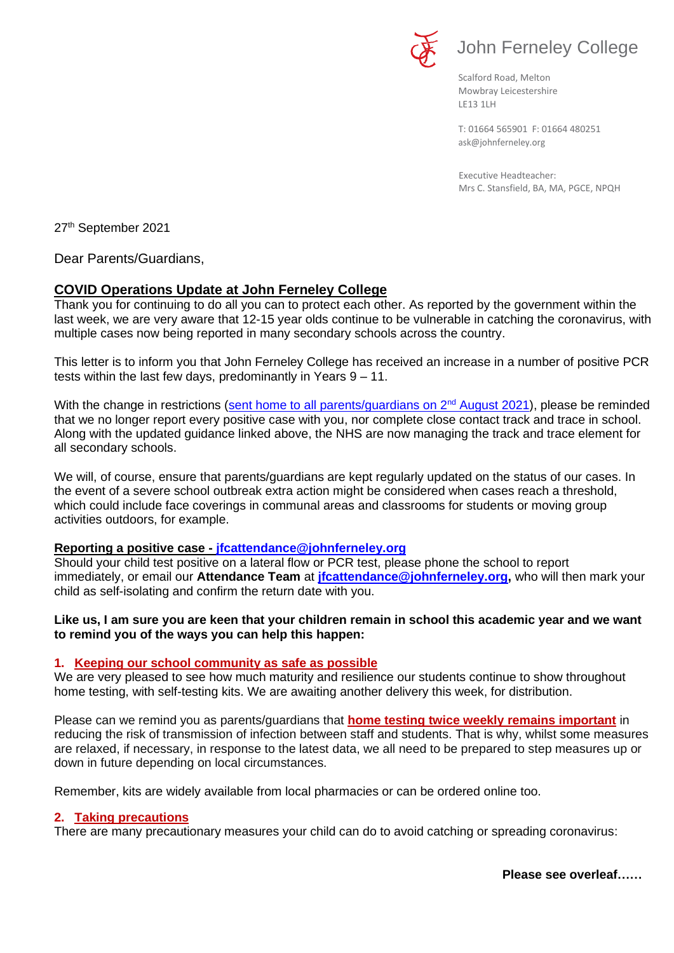

# John Ferneley College

Scalford Road, Melton Mowbray Leicestershire LE13 1LH

[ask@johnferneley.org](mailto:ask@johnferneley.org) T: 01664 565901 F: 01664 480251

 Executive Headteacher: Mrs C. Stansfield, BA, MA, PGCE, NPQH

27th September 2021

Dear Parents/Guardians,

## **COVID Operations Update at John Ferneley College**

Thank you for continuing to do all you can to protect each other. As reported by the government within the last week, we are very aware that 12-15 year olds continue to be vulnerable in catching the coronavirus, with multiple cases now being reported in many secondary schools across the country.

This letter is to inform you that John Ferneley College has received an increase in a number of positive PCR tests within the last few days, predominantly in Years 9 – 11.

With the change in restrictions [\(sent home to all parents/guardians on 2](https://www.johnferneley.org/attachments/download.asp?file=2337&type=pdf)<sup>nd</sup> August 2021), please be reminded that we no longer report every positive case with you, nor complete close contact track and trace in school. Along with the updated guidance linked above, the NHS are now managing the track and trace element for all secondary schools.

We will, of course, ensure that parents/guardians are kept regularly updated on the status of our cases. In the event of a severe school outbreak extra action might be considered when cases reach a threshold, which could include face coverings in communal areas and classrooms for students or moving group activities outdoors, for example.

#### **Reporting a positive case - [jfcattendance@johnferneley.org](javascript:mt()**

Should your child test positive on a lateral flow or PCR test, please phone the school to report immediately, or email our **Attendance Team** at **[jfcattendance@johnferneley.org,](javascript:mt()** who will then mark your child as self-isolating and confirm the return date with you.

## **Like us, I am sure you are keen that your children remain in school this academic year and we want to remind you of the ways you can help this happen:**

#### **1. Keeping our school community as safe as possible**

We are very pleased to see how much maturity and resilience our students continue to show throughout home testing, with self-testing kits. We are awaiting another delivery this week, for distribution.

Please can we remind you as parents/guardians that **home testing twice weekly remains important** in reducing the risk of transmission of infection between staff and students. That is why, whilst some measures are relaxed, if necessary, in response to the latest data, we all need to be prepared to step measures up or down in future depending on local circumstances.

Remember, kits are widely available from local pharmacies or can be ordered online too.

#### **2. Taking precautions**

There are many precautionary measures your child can do to avoid catching or spreading coronavirus: